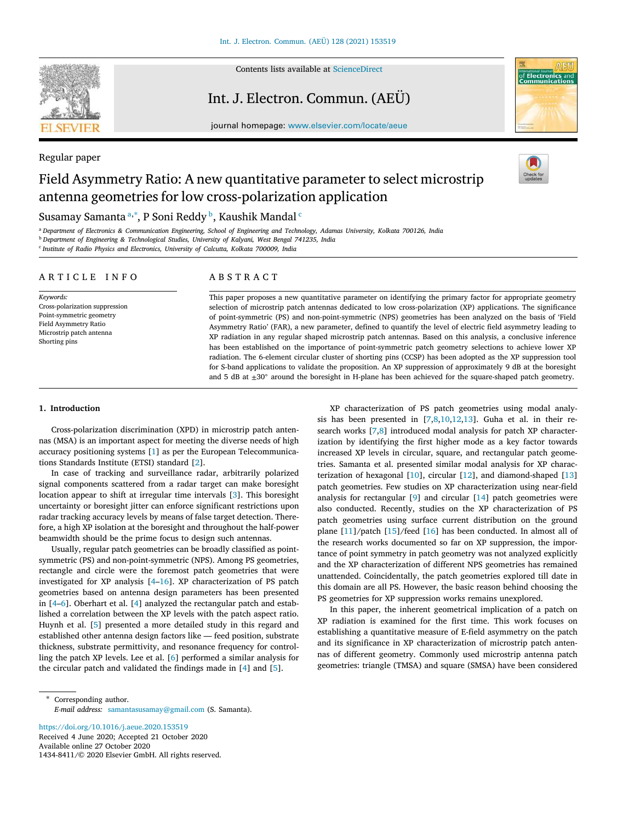

Regular paper

Contents lists available at [ScienceDirect](http://www.elsevier.com/locate/aeue)

## Int. J. Electron. Commun. (AEÜ)



journal homepage: [www.elsevier.com/locate/aeue](http://www.elsevier.com/locate/aeue)

# Field Asymmetry Ratio: A new quantitative parameter to select microstrip antenna geometries for low cross-polarization application



## Sus[a](#page-0-0)may Samanta ª,\*, P Soni Reddy <sup>[b](#page-0-2)</sup>, Kaushik Mandal <sup>[c](#page-0-3)</sup>

<span id="page-0-2"></span><span id="page-0-0"></span><sup>a</sup> *Department of Electronics & Communication Engineering, School of Engineering and Technology, Adamas University, Kolkata 700126, India* <sup>b</sup> *Department of Engineering & Technological Studies, University of Kalyani, West Bengal 741235, India*

<span id="page-0-3"></span>c *Institute of Radio Physics and Electronics, University of Calcutta, Kolkata 700009, India*

#### ARTICLE INFO

*Keywords:* Cross-polarization suppression Point-symmetric geometry Field Asymmetry Ratio Microstrip patch antenna Shorting pins

## A B S T R A C T

This paper proposes a new quantitative parameter on identifying the primary factor for appropriate geometry selection of microstrip patch antennas dedicated to low cross-polarization (XP) applications. The significance of point-symmetric (PS) and non-point-symmetric (NPS) geometries has been analyzed on the basis of 'Field Asymmetry Ratio' (FAR), a new parameter, defined to quantify the level of electric field asymmetry leading to XP radiation in any regular shaped microstrip patch antennas. Based on this analysis, a conclusive inference has been established on the importance of point-symmetric patch geometry selections to achieve lower XP radiation. The 6-element circular cluster of shorting pins (CCSP) has been adopted as the XP suppression tool for S-band applications to validate the proposition. An XP suppression of approximately 9 dB at the boresight and 5 dB at  $\pm 30^\circ$  around the boresight in H-plane has been achieved for the square-shaped patch geometry.

### **1. Introduction**

Cross-polarization discrimination (XPD) in microstrip patch antennas (MSA) is an important aspect for meeting the diverse needs of high accuracy positioning systems [\[1\]](#page-5-0) as per the European Telecommunications Standards Institute (ETSI) standard [\[2\]](#page-5-1).

In case of tracking and surveillance radar, arbitrarily polarized signal components scattered from a radar target can make boresight location appear to shift at irregular time intervals[[3](#page-5-2)]. This boresight uncertainty or boresight jitter can enforce significant restrictions upon radar tracking accuracy levels by means of false target detection. Therefore, a high XP isolation at the boresight and throughout the half-power beamwidth should be the prime focus to design such antennas.

Usually, regular patch geometries can be broadly classified as pointsymmetric (PS) and non-point-symmetric (NPS). Among PS geometries, rectangle and circle were the foremost patch geometries that were investigated for XP analysis[[4](#page-5-3)[–16](#page-6-0)]. XP characterization of PS patch geometries based on antenna design parameters has been presented in [\[4–](#page-5-3)[6](#page-5-4)]. Oberhart et al. [\[4\]](#page-5-3) analyzed the rectangular patch and established a correlation between the XP levels with the patch aspect ratio. Huynh et al. [\[5\]](#page-5-5) presented a more detailed study in this regard and established other antenna design factors like — feed position, substrate thickness, substrate permittivity, and resonance frequency for controlling the patch XP levels. Lee et al.[[6](#page-5-4)] performed a similar analysis for the circular patch and validated the findings made in [\[4\]](#page-5-3) and[[5](#page-5-5)].

Available online 27 October 2020 1434-8411/© 2020 Elsevier GmbH. All rights reserved. <https://doi.org/10.1016/j.aeue.2020.153519> Received 4 June 2020; Accepted 21 October 2020

XP characterization of PS patch geometries using modal analysis has been presented in[[7](#page-6-1),[8](#page-6-2)[,10](#page-6-3),[12](#page-6-4),[13\]](#page-6-5). Guha et al. in their research works[[7](#page-6-1)[,8\]](#page-6-2) introduced modal analysis for patch XP characterization by identifying the first higher mode as a key factor towards increased XP levels in circular, square, and rectangular patch geometries. Samanta et al. presented similar modal analysis for XP characterization of hexagonal[[10\]](#page-6-3), circular[[12\]](#page-6-4), and diamond-shaped [\[13](#page-6-5)] patch geometries. Few studies on XP characterization using near-field analysis for rectangular [\[9\]](#page-6-6) and circular [\[14\]](#page-6-7) patch geometries were also conducted. Recently, studies on the XP characterization of PS patch geometries using surface current distribution on the ground plane [\[11](#page-6-8)]/patch [\[15](#page-6-9)]/feed[[16\]](#page-6-0) has been conducted. In almost all of the research works documented so far on XP suppression, the importance of point symmetry in patch geometry was not analyzed explicitly and the XP characterization of different NPS geometries has remained unattended. Coincidentally, the patch geometries explored till date in this domain are all PS. However, the basic reason behind choosing the PS geometries for XP suppression works remains unexplored.

In this paper, the inherent geometrical implication of a patch on XP radiation is examined for the first time. This work focuses on establishing a quantitative measure of E-field asymmetry on the patch and its significance in XP characterization of microstrip patch antennas of different geometry. Commonly used microstrip antenna patch geometries: triangle (TMSA) and square (SMSA) have been considered

<span id="page-0-1"></span>Corresponding author. *E-mail address:* [samantasusamay@gmail.com](mailto:samantasusamay@gmail.com) (S. Samanta).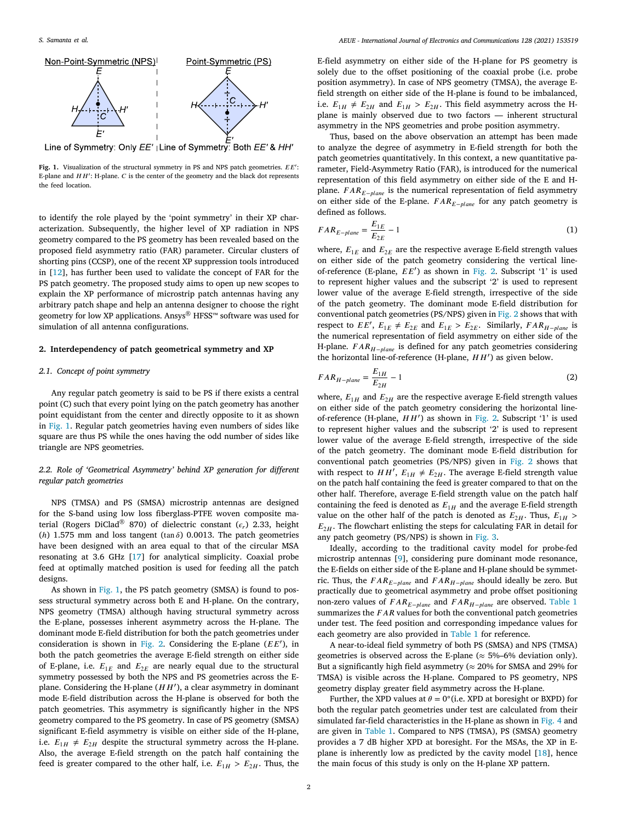

Line of Symmetry: Only EE' | Line of Symmetry: Both EE' & HH'

<span id="page-1-0"></span>Fig. 1. Visualization of the structural symmetry in PS and NPS patch geometries.  $EE'$ : E-plane and  $HH'$ : H-plane.  $C$  is the center of the geometry and the black dot represents the feed location.

to identify the role played by the 'point symmetry' in their XP characterization. Subsequently, the higher level of XP radiation in NPS geometry compared to the PS geometry has been revealed based on the proposed field asymmetry ratio (FAR) parameter. Circular clusters of shorting pins (CCSP), one of the recent XP suppression tools introduced in[[12\]](#page-6-4), has further been used to validate the concept of FAR for the PS patch geometry. The proposed study aims to open up new scopes to explain the XP performance of microstrip patch antennas having any arbitrary patch shape and help an antenna designer to choose the right geometry for low XP applications. Ansys® HFSS™ software was used for simulation of all antenna configurations.

#### **2. Interdependency of patch geometrical symmetry and XP**

## *2.1. Concept of point symmetry*

Any regular patch geometry is said to be PS if there exists a central point (C) such that every point lying on the patch geometry has another point equidistant from the center and directly opposite to it as shown in [Fig. 1.](#page-1-0) Regular patch geometries having even numbers of sides like square are thus PS while the ones having the odd number of sides like triangle are NPS geometries.

## *2.2. Role of 'Geometrical Asymmetry' behind XP generation for different regular patch geometries*

<span id="page-1-1"></span>NPS (TMSA) and PS (SMSA) microstrip antennas are designed for the S-band using low loss fiberglass-PTFE woven composite material (Rogers DiClad® 870) of dielectric constant  $(\epsilon_r)$  2.33, height ( $h$ ) 1.575 mm and loss tangent (tan  $\delta$ ) 0.0013. The patch geometries have been designed with an area equal to that of the circular MSA resonating at 3.6 GHz[[17\]](#page-6-10) for analytical simplicity. Coaxial probe feed at optimally matched position is used for feeding all the patch designs.

As shown in [Fig. 1,](#page-1-0) the PS patch geometry (SMSA) is found to possess structural symmetry across both E and H-plane. On the contrary, NPS geometry (TMSA) although having structural symmetry across the E-plane, possesses inherent asymmetry across the H-plane. The dominant mode E-field distribution for both the patch geometries under consideration is shown in [Fig. 2](#page-2-0). Considering the E-plane  $(EE')$ , in both the patch geometries the average E-field strength on either side of E-plane, i.e.  $E_{1E}$  and  $E_{2E}$  are nearly equal due to the structural symmetry possessed by both the NPS and PS geometries across the Eplane. Considering the H-plane  $(HH')$ , a clear asymmetry in dominant mode E-field distribution across the H-plane is observed for both the patch geometries. This asymmetry is significantly higher in the NPS geometry compared to the PS geometry. In case of PS geometry (SMSA) significant E-field asymmetry is visible on either side of the H-plane, i.e.  $E_{1H} \neq E_{2H}$  despite the structural symmetry across the H-plane. Also, the average E-field strength on the patch half containing the feed is greater compared to the other half, i.e.  $E_{1H} > E_{2H}$ . Thus, the

E-field asymmetry on either side of the H-plane for PS geometry is solely due to the offset positioning of the coaxial probe (i.e. probe position asymmetry). In case of NPS geometry (TMSA), the average Efield strength on either side of the H-plane is found to be imbalanced, i.e.  $E_{1H} \neq E_{2H}$  and  $E_{1H} > E_{2H}$ . This field asymmetry across the Hplane is mainly observed due to two factors — inherent structural asymmetry in the NPS geometries and probe position asymmetry.

Thus, based on the above observation an attempt has been made to analyze the degree of asymmetry in E-field strength for both the patch geometries quantitatively. In this context, a new quantitative parameter, Field-Asymmetry Ratio (FAR), is introduced for the numerical representation of this field asymmetry on either side of the E and Hplane.  $FAR_{E-plane}$  is the numerical representation of field asymmetry on either side of the E-plane.  $FAR_{E-plane}$  for any patch geometry is defined as follows.

$$
FAR_{E-plane} = \frac{E_{1E}}{E_{2E}} - 1\tag{1}
$$

where,  $E_{1E}$  and  $E_{2E}$  are the respective average E-field strength values on either side of the patch geometry considering the vertical lineof-reference (E-plane,  $EE'$ ) as shown in [Fig. 2](#page-2-0). Subscript '1' is used to represent higher values and the subscript '2' is used to represent lower value of the average E-field strength, irrespective of the side of the patch geometry. The dominant mode E-field distribution for conventional patch geometries (PS/NPS) given in [Fig. 2](#page-2-0) shows that with respect to  $EE'$ ,  $E_{1E} \neq E_{2E}$  and  $E_{1E} > E_{2E}$ . Similarly,  $FAR_{H-plane}$  is the numerical representation of field asymmetry on either side of the H-plane.  $FAR_{H-plane}$  is defined for any patch geometries considering the horizontal line-of-reference (H-plane,  $HH'$ ) as given below.

$$
FAR_{H-plane} = \frac{E_{1H}}{E_{2H}} - 1\tag{2}
$$

where,  $E_{1H}$  and  $E_{2H}$  are the respective average E-field strength values on either side of the patch geometry considering the horizontal lineof-reference (H-plane,  $HH'$ ) as shown in [Fig. 2.](#page-2-0) Subscript '1' is used to represent higher values and the subscript '2' is used to represent lower value of the average E-field strength, irrespective of the side of the patch geometry. The dominant mode E-field distribution for conventional patch geometries (PS/NPS) given in [Fig. 2](#page-2-0) shows that with respect to  $HH'$ ,  $E_{1H} \neq E_{2H}$ . The average E-field strength value on the patch half containing the feed is greater compared to that on the other half. Therefore, average E-field strength value on the patch half containing the feed is denoted as  $E_{1H}$  and the average E-field strength value on the other half of the patch is denoted as  $E_{2H}$ . Thus,  $E_{1H}$  >  $E_{2H}$ . The flowchart enlisting the steps for calculating FAR in detail for any patch geometry (PS/NPS) is shown in [Fig. 3.](#page-2-1)

Ideally, according to the traditional cavity model for probe-fed microstrip antennas [\[9\]](#page-6-6), considering pure dominant mode resonance, the E-fields on either side of the E-plane and H-plane should be symmetric. Thus, the  $FAR_{E-plane}$  and  $FAR_{H-plane}$  should ideally be zero. But practically due to geometrical asymmetry and probe offset positioning non-zero values of  $FAR_{E-plane}$  and  $FAR_{H-plane}$  are observed. [Table 1](#page-2-2) summarizes the *FAR* values for both the conventional patch geometries under test. The feed position and corresponding impedance values for each geometry are also provided in [Table 1](#page-2-2) for reference.

A near-to-ideal field symmetry of both PS (SMSA) and NPS (TMSA) geometries is observed across the E-plane ( $\approx$  5%–6% deviation only). But a significantly high field asymmetry ( $\approx$  20% for SMSA and 29% for TMSA) is visible across the H-plane. Compared to PS geometry, NPS geometry display greater field asymmetry across the H-plane.

Further, the XPD values at  $\theta = 0^\circ$  (i.e. XPD at boresight or BXPD) for both the regular patch geometries under test are calculated from their simulated far-field characteristics in the H-plane as shown in [Fig. 4](#page-3-0) and are given in [Table 1](#page-2-2). Compared to NPS (TMSA), PS (SMSA) geometry provides a 7 dB higher XPD at boresight. For the MSAs, the XP in Eplane is inherently low as predicted by the cavity model [\[18](#page-6-11)], hence the main focus of this study is only on the H-plane XP pattern.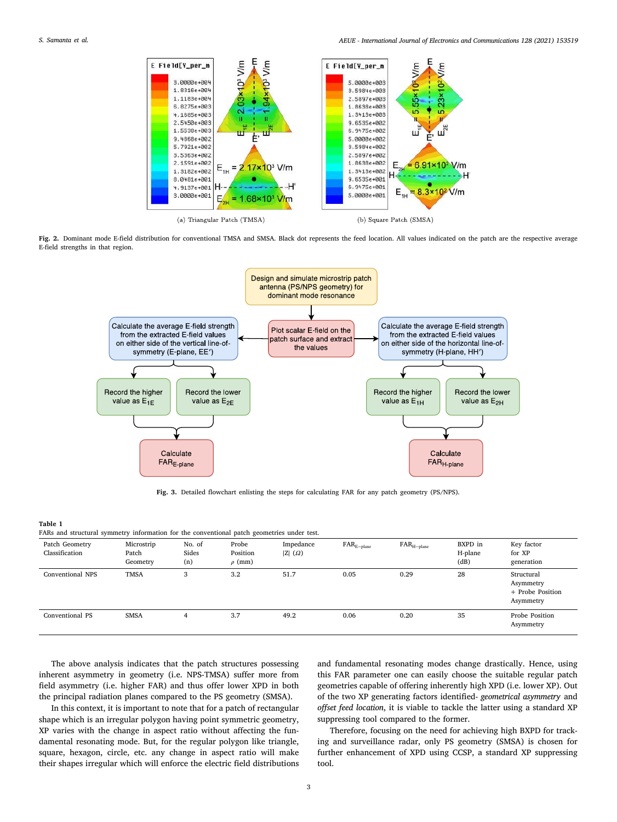

<span id="page-2-0"></span>**Fig. 2.** Dominant mode E-field distribution for conventional TMSA and SMSA. Black dot represents the feed location. All values indicated on the patch are the respective average E-field strengths in that region.



**Fig. 3.** Detailed flowchart enlisting the steps for calculating FAR for any patch geometry (PS/NPS).

#### <span id="page-2-1"></span>**Table 1**

<span id="page-2-2"></span>FARs and structural symmetry information for the conventional patch geometries under test. Patch Geometry Microstrip No. of Probe Impedance FARE−plane FARH−plane BXPD in Key factor Classification Patch Sides Position ∣Z∣ (Ω) → Classification H-plane for XP Geometry  $(n)$   $\rho$  (mm)  $(dB)$  generation Conventional NPS TMSA 3 3.2 51.7 0.05 0.29 28 Structural Asymmetry + Probe Position Asymmetry Conventional PS SMSA 4 3.7 49.2 0.06 0.20 35 Probe Position Asymmetry

The above analysis indicates that the patch structures possessing inherent asymmetry in geometry (i.e. NPS-TMSA) suffer more from field asymmetry (i.e. higher FAR) and thus offer lower XPD in both the principal radiation planes compared to the PS geometry (SMSA).

In this context, it is important to note that for a patch of rectangular shape which is an irregular polygon having point symmetric geometry, XP varies with the change in aspect ratio without affecting the fundamental resonating mode. But, for the regular polygon like triangle, square, hexagon, circle, etc. any change in aspect ratio will make their shapes irregular which will enforce the electric field distributions

and fundamental resonating modes change drastically. Hence, using this FAR parameter one can easily choose the suitable regular patch geometries capable of offering inherently high XPD (i.e. lower XP). Out of the two XP generating factors identified- *geometrical asymmetry* and *offset feed location*, it is viable to tackle the latter using a standard XP suppressing tool compared to the former.

Therefore, focusing on the need for achieving high BXPD for tracking and surveillance radar, only PS geometry (SMSA) is chosen for further enhancement of XPD using CCSP, a standard XP suppressing tool.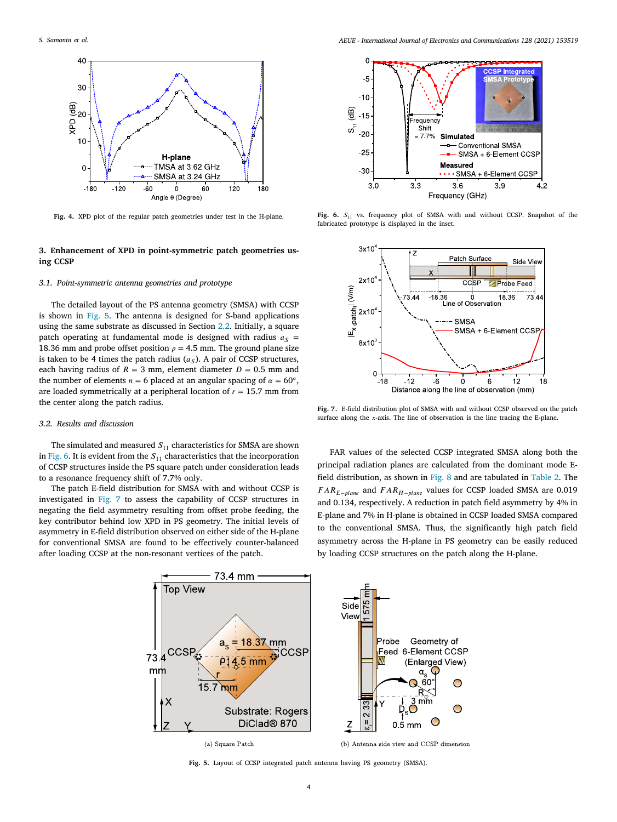

<span id="page-3-0"></span>**Fig. 4.** XPD plot of the regular patch geometries under test in the H-plane.

## **3. Enhancement of XPD in point-symmetric patch geometries using CCSP**

## *3.1. Point-symmetric antenna geometries and prototype*

The detailed layout of the PS antenna geometry (SMSA) with CCSP is shown in [Fig. 5](#page-3-1). The antenna is designed for S-band applications using the same substrate as discussed in Section [2.2.](#page-1-1) Initially, a square patch operating at fundamental mode is designed with radius  $a<sub>S</sub>$  = 18.36 mm and probe offset position  $\rho = 4.5$  mm. The ground plane size is taken to be 4 times the patch radius  $(a<sub>S</sub>)$ . A pair of CCSP structures, each having radius of  $R = 3$  mm, element diameter  $D = 0.5$  mm and the number of elements  $n = 6$  placed at an angular spacing of  $\alpha = 60^{\circ}$ , are loaded symmetrically at a peripheral location of  $r = 15.7$  mm from the center along the patch radius.

#### *3.2. Results and discussion*

The simulated and measured  $S_{11}$  characteristics for SMSA are shown in [Fig. 6](#page-3-2). It is evident from the  $\mathcal{S}_{11}$  characteristics that the incorporation of CCSP structures inside the PS square patch under consideration leads to a resonance frequency shift of 7.7% only.

The patch E-field distribution for SMSA with and without CCSP is investigated in [Fig. 7](#page-3-3) to assess the capability of CCSP structures in negating the field asymmetry resulting from offset probe feeding, the key contributor behind low XPD in PS geometry. The initial levels of asymmetry in E-field distribution observed on either side of the H-plane for conventional SMSA are found to be effectively counter-balanced after loading CCSP at the non-resonant vertices of the patch.



<span id="page-3-2"></span>Fig. 6.  $S_{11}$  vs. frequency plot of SMSA with and without CCSP. Snapshot of the fabricated prototype is displayed in the inset.



<span id="page-3-3"></span>**Fig. 7.** E-field distribution plot of SMSA with and without CCSP observed on the patch surface along the  $x$ -axis. The line of observation is the line tracing the E-plane.

FAR values of the selected CCSP integrated SMSA along both the principal radiation planes are calculated from the dominant mode Efield distribution, as shown in [Fig. 8](#page-4-0) and are tabulated in [Table 2.](#page-4-1) The  $FAR_{E-plane}$  and  $FAR_{H-plane}$  values for CCSP loaded SMSA are 0.019 and 0.134, respectively. A reduction in patch field asymmetry by 4% in E-plane and 7% in H-plane is obtained in CCSP loaded SMSA compared to the conventional SMSA. Thus, the significantly high patch field asymmetry across the H-plane in PS geometry can be easily reduced by loading CCSP structures on the patch along the H-plane.



<span id="page-3-1"></span>**Fig. 5.** Layout of CCSP integrated patch antenna having PS geometry (SMSA).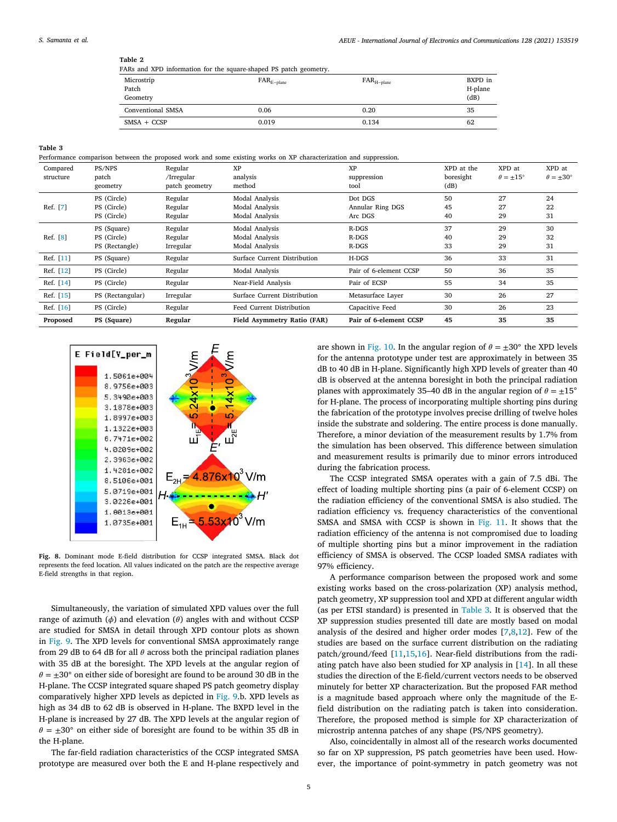#### <span id="page-4-1"></span>**Table 2**

| FARs and XPD information for the square-shaped PS patch geometry. |  |  |  |  |  |  |  |
|-------------------------------------------------------------------|--|--|--|--|--|--|--|
|-------------------------------------------------------------------|--|--|--|--|--|--|--|

| Microstrip<br>Patch<br>Geometry | $FAR_{E-plane}$ | $FAR_{H-plane}$ | BXPD in<br>H-plane<br>(dB) |
|---------------------------------|-----------------|-----------------|----------------------------|
| Conventional SMSA               | 0.06            | 0.20            | 35                         |
| $SMSA + CCSP$                   | 0.019           | 0.134           | 62                         |

**Table 3**

<span id="page-4-2"></span>Performance comparison between the proposed work and some existing works on XP characterization and suppression.

| Compared<br>structure | PS/NPS<br>patch  | Regular                      | <b>XP</b><br>analysis        | <b>XP</b>              | XPD at the<br>boresight | XPD at<br>$\theta = \pm 15^{\circ}$ | XPD at<br>$\theta = \pm 30^{\circ}$ |
|-----------------------|------------------|------------------------------|------------------------------|------------------------|-------------------------|-------------------------------------|-------------------------------------|
|                       | geometry         | /Irregular<br>patch geometry | method                       | suppression<br>tool    | (dB)                    |                                     |                                     |
|                       | PS (Circle)      | Regular                      | Modal Analysis               | Dot DGS                | 50                      | 27                                  | 24                                  |
| Ref. [7]              | PS (Circle)      | Regular                      | Modal Analysis               | Annular Ring DGS       | 45                      | 27                                  | 22                                  |
|                       | PS (Circle)      | Regular                      | Modal Analysis               | Arc DGS                | 40                      | 29                                  | 31                                  |
|                       | PS (Square)      | Regular                      | Modal Analysis               | $R-DGS$                | 37                      | 29                                  | 30                                  |
| Ref. [8]              | PS (Circle)      | Regular                      | Modal Analysis               | $R-DGS$                | 40                      | 29                                  | 32                                  |
|                       | PS (Rectangle)   | Irregular                    | Modal Analysis               | R-DGS                  | 33                      | 29                                  | 31                                  |
| Ref. [11]             | PS (Square)      | Regular                      | Surface Current Distribution | $H-DGS$                | 36                      | 33                                  | 31                                  |
| Ref. [12]             | PS (Circle)      | Regular                      | Modal Analysis               | Pair of 6-element CCSP | 50                      | 36                                  | 35                                  |
| Ref. [14]             | PS (Circle)      | Regular                      | Near-Field Analysis          | Pair of ECSP           | 55                      | 34                                  | 35                                  |
| Ref. [15]             | PS (Rectangular) | Irregular                    | Surface Current Distribution | Metasurface Layer      | 30                      | 26                                  | 27                                  |
| Ref. [16]             | PS (Circle)      | Regular                      | Feed Current Distribution    | Capacitive Feed        | 30                      | 26                                  | 23                                  |
| Proposed              | PS (Square)      | Regular                      | Field Asymmetry Ratio (FAR)  | Pair of 6-element CCSP | 45                      | 35                                  | 35                                  |



<span id="page-4-0"></span>**Fig. 8.** Dominant mode E-field distribution for CCSP integrated SMSA. Black dot represents the feed location. All values indicated on the patch are the respective average E-field strengths in that region.

Simultaneously, the variation of simulated XPD values over the full range of azimuth  $(\phi)$  and elevation  $(\theta)$  angles with and without CCSP are studied for SMSA in detail through XPD contour plots as shown in [Fig. 9.](#page-5-6) The XPD levels for conventional SMSA approximately range from 29 dB to 64 dB for all  $\theta$  across both the principal radiation planes with 35 dB at the boresight. The XPD levels at the angular region of  $\theta = \pm 30^{\circ}$  on either side of boresight are found to be around 30 dB in the H-plane. The CCSP integrated square shaped PS patch geometry display comparatively higher XPD levels as depicted in [Fig. 9](#page-5-6).b. XPD levels as high as 34 dB to 62 dB is observed in H-plane. The BXPD level in the H-plane is increased by 27 dB. The XPD levels at the angular region of  $\theta = \pm 30^\circ$  on either side of boresight are found to be within 35 dB in the H-plane.

The far-field radiation characteristics of the CCSP integrated SMSA prototype are measured over both the E and H-plane respectively and

are shown in [Fig. 10.](#page-5-7) In the angular region of  $\theta = \pm 30^{\circ}$  the XPD levels for the antenna prototype under test are approximately in between 35 dB to 40 dB in H-plane. Significantly high XPD levels of greater than 40 dB is observed at the antenna boresight in both the principal radiation planes with approximately 35–40 dB in the angular region of  $\theta = \pm 15^{\circ}$ for H-plane. The process of incorporating multiple shorting pins during the fabrication of the prototype involves precise drilling of twelve holes inside the substrate and soldering. The entire process is done manually. Therefore, a minor deviation of the measurement results by 1.7% from the simulation has been observed. This difference between simulation and measurement results is primarily due to minor errors introduced during the fabrication process.

The CCSP integrated SMSA operates with a gain of 7.5 dBi. The effect of loading multiple shorting pins (a pair of 6-element CCSP) on the radiation efficiency of the conventional SMSA is also studied. The radiation efficiency vs. frequency characteristics of the conventional SMSA and SMSA with CCSP is shown in [Fig. 11.](#page-5-8) It shows that the radiation efficiency of the antenna is not compromised due to loading of multiple shorting pins but a minor improvement in the radiation efficiency of SMSA is observed. The CCSP loaded SMSA radiates with 97% efficiency.

A performance comparison between the proposed work and some existing works based on the cross-polarization (XP) analysis method, patch geometry, XP suppression tool and XPD at different angular width (as per ETSI standard) is presented in [Table 3.](#page-4-2) It is observed that the XP suppression studies presented till date are mostly based on modal analysis of the desired and higher order modes[[7](#page-6-1)[,8](#page-6-2)[,12](#page-6-4)]. Few of the studies are based on the surface current distribution on the radiating patch/ground/feed[[11,](#page-6-8)[15,](#page-6-9)[16\]](#page-6-0). Near-field distributions from the radiating patch have also been studied for XP analysis in [\[14](#page-6-7)]. In all these studies the direction of the E-field/current vectors needs to be observed minutely for better XP characterization. But the proposed FAR method is a magnitude based approach where only the magnitude of the Efield distribution on the radiating patch is taken into consideration. Therefore, the proposed method is simple for XP characterization of microstrip antenna patches of any shape (PS/NPS geometry).

Also, coincidentally in almost all of the research works documented so far on XP suppression, PS patch geometries have been used. However, the importance of point-symmetry in patch geometry was not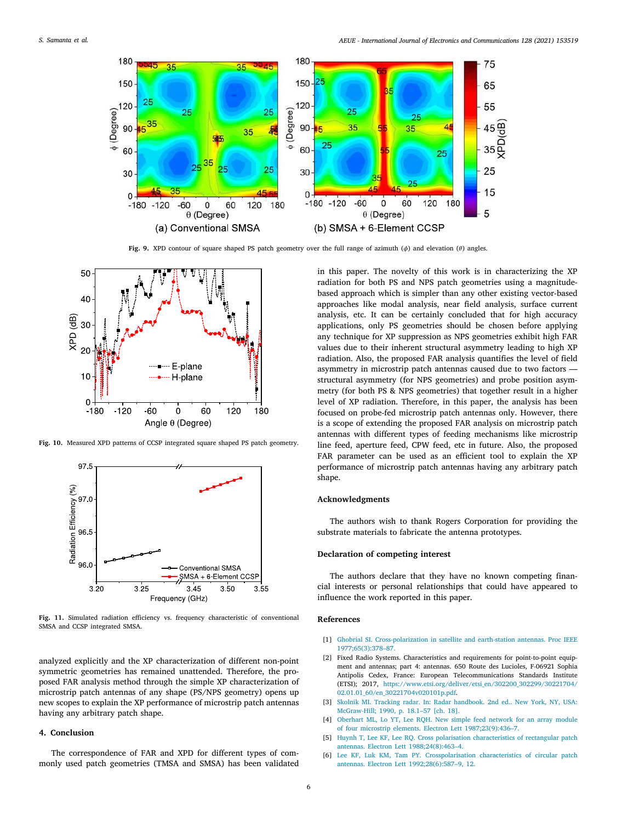

Fig. 9. XPD contour of square shaped PS patch geometry over the full range of azimuth  $(\phi)$  and elevation  $(\theta)$  angles.

<span id="page-5-6"></span>

<span id="page-5-7"></span>**Fig. 10.** Measured XPD patterns of CCSP integrated square shaped PS patch geometry.



<span id="page-5-8"></span>**Fig. 11.** Simulated radiation efficiency vs. frequency characteristic of conventional SMSA and CCSP integrated SMSA.

analyzed explicitly and the XP characterization of different non-point symmetric geometries has remained unattended. Therefore, the proposed FAR analysis method through the simple XP characterization of microstrip patch antennas of any shape (PS/NPS geometry) opens up new scopes to explain the XP performance of microstrip patch antennas having any arbitrary patch shape.

## **4. Conclusion**

The correspondence of FAR and XPD for different types of commonly used patch geometries (TMSA and SMSA) has been validated in this paper. The novelty of this work is in characterizing the XP radiation for both PS and NPS patch geometries using a magnitudebased approach which is simpler than any other existing vector-based approaches like modal analysis, near field analysis, surface current analysis, etc. It can be certainly concluded that for high accuracy applications, only PS geometries should be chosen before applying any technique for XP suppression as NPS geometries exhibit high FAR values due to their inherent structural asymmetry leading to high XP radiation. Also, the proposed FAR analysis quantifies the level of field asymmetry in microstrip patch antennas caused due to two factors structural asymmetry (for NPS geometries) and probe position asymmetry (for both PS & NPS geometries) that together result in a higher level of XP radiation. Therefore, in this paper, the analysis has been focused on probe-fed microstrip patch antennas only. However, there is a scope of extending the proposed FAR analysis on microstrip patch antennas with different types of feeding mechanisms like microstrip line feed, aperture feed, CPW feed, etc in future. Also, the proposed FAR parameter can be used as an efficient tool to explain the XP performance of microstrip patch antennas having any arbitrary patch shape.

#### **Acknowledgments**

The authors wish to thank Rogers Corporation for providing the substrate materials to fabricate the antenna prototypes.

#### **Declaration of competing interest**

The authors declare that they have no known competing financial interests or personal relationships that could have appeared to influence the work reported in this paper.

#### **References**

- <span id="page-5-0"></span>[1] [Ghobrial SI. Cross-polarization in satellite and earth-station antennas. Proc IEEE](http://refhub.elsevier.com/S1434-8411(20)31373-X/sb1) [1977;65\(3\):378–87.](http://refhub.elsevier.com/S1434-8411(20)31373-X/sb1)
- <span id="page-5-1"></span>[2] Fixed Radio Systems. Characteristics and requirements for point-to-point equipment and antennas; part 4: antennas. 650 Route des Lucioles, F-06921 Sophia Antipolis Cedex, France: European Telecommunications Standards Institute (ETSI); 2017, [https://www.etsi.org/deliver/etsi\\_en/302200\\_302299/30221704/](https://www.etsi.org/deliver/etsi_en/302200_302299/30221704/02.01.01_60/en_30221704v020101p.pdf) [02.01.01\\_60/en\\_30221704v020101p.pdf](https://www.etsi.org/deliver/etsi_en/302200_302299/30221704/02.01.01_60/en_30221704v020101p.pdf).
- <span id="page-5-2"></span>[3] [Skolnik MI. Tracking radar. In: Radar handbook. 2nd ed.. New York, NY, USA:](http://refhub.elsevier.com/S1434-8411(20)31373-X/sb3) [McGraw-Hill; 1990, p. 18.1–57 \[ch. 18\].](http://refhub.elsevier.com/S1434-8411(20)31373-X/sb3)
- <span id="page-5-3"></span>[4] [Oberhart ML, Lo YT, Lee RQH. New simple feed network for an array module](http://refhub.elsevier.com/S1434-8411(20)31373-X/sb4) [of four microstrip elements. Electron Lett 1987;23\(9\):436–7.](http://refhub.elsevier.com/S1434-8411(20)31373-X/sb4)
- <span id="page-5-5"></span>[5] [Huynh T, Lee KF, Lee RQ. Cross polarisation characteristics of rectangular patch](http://refhub.elsevier.com/S1434-8411(20)31373-X/sb5) [antennas. Electron Lett 1988;24\(8\):463–4.](http://refhub.elsevier.com/S1434-8411(20)31373-X/sb5)
- <span id="page-5-4"></span>[6] [Lee KF, Luk KM, Tam PY. Crosspolarisation characteristics of circular patch](http://refhub.elsevier.com/S1434-8411(20)31373-X/sb6) [antennas. Electron Lett 1992;28\(6\):587–9, 12.](http://refhub.elsevier.com/S1434-8411(20)31373-X/sb6)